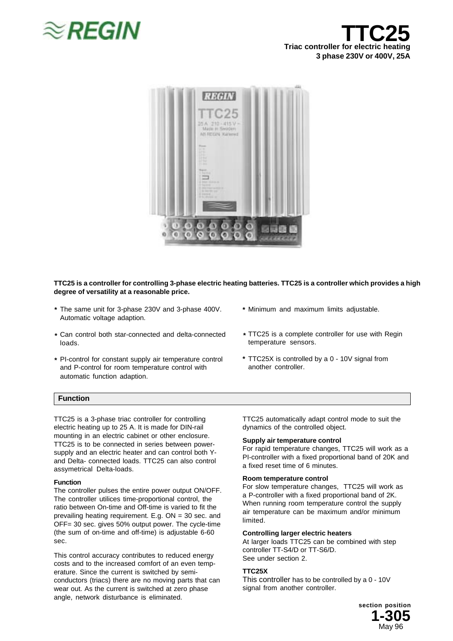





### **TTC25 is a controller for controlling 3-phase electric heating batteries. TTC25 is a controller which provides a high degree of versatility at a reasonable price.**

- **\*** The same unit for 3-phase 230V and 3-phase 400V. **\*** Automatic voltage adaption.
- **\*** Can control both star-connected and delta-connected loads.
- **\* \*** PI-control for constant supply air temperature control and P-control for room temperature control with automatic function adaption.
- Minimum and maximum limits adjustable.
- TTC25 is a complete controller for use with Regin **\*** temperature sensors.
- TTC25X is controlled by a 0 10V signal from another controller.

## **Function**

TTC25 is a 3-phase triac controller for controlling electric heating up to 25 A. It is made for DIN-rail mounting in an electric cabinet or other enclosure. TTC25 is to be connected in series between powersupply and an electric heater and can control both Yand Delta- connected loads. TTC25 can also control assymetrical Delta-loads.

#### **Function**

The controller pulses the entire power output ON/OFF. The controller utilices time-proportional control, the ratio between On-time and Off-time is varied to fit the prevailing heating requirement. E.g. ON = 30 sec. and OFF= 30 sec. gives 50% output power. The cycle-time (the sum of on-time and off-time) is adjustable 6-60 sec.

This control accuracy contributes to reduced energy costs and to the increased comfort of an even temperature. Since the current is switched by semiconductors (triacs) there are no moving parts that can wear out. As the current is switched at zero phase angle, network disturbance is eliminated.

TTC25 automatically adapt control mode to suit the dynamics of the controlled object.

#### **Supply air temperature control**

For rapid temperature changes, TTC25 will work as a PI-controller with a fixed proportional band of 20K and a fixed reset time of 6 minutes.

### **Room temperature control**

For slow temperature changes, TTC25 will work as a P-controller with a fixed proportional band of 2K. When running room temperature control the supply air temperature can be maximum and/or minimum limited.

#### **Controlling larger electric heaters**

At larger loads TTC25 can be combined with step controller TT-S4/D or TT-S6/D. See under section 2.

### **TTC25X**

This controller has to be controlled by a 0 - 10V signal from another controller.